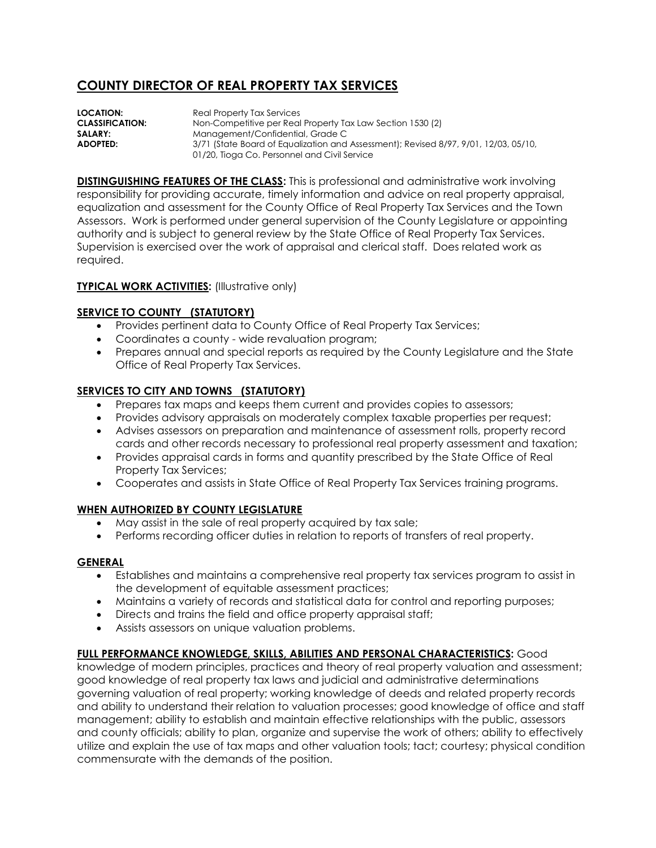# **COUNTY DIRECTOR OF REAL PROPERTY TAX SERVICES**

| <b>LOCATION:</b>       | Real Property Tax Services                                                           |
|------------------------|--------------------------------------------------------------------------------------|
| <b>CLASSIFICATION:</b> | Non-Competitive per Real Property Tax Law Section 1530 (2)                           |
| <b>SALARY:</b>         | Management/Confidential, Grade C                                                     |
| <b>ADOPTED:</b>        | 3/71 (State Board of Equalization and Assessment); Revised 8/97, 9/01, 12/03, 05/10, |
|                        | 01/20, Tioga Co. Personnel and Civil Service                                         |

**DISTINGUISHING FEATURES OF THE CLASS:** This is professional and administrative work involving responsibility for providing accurate, timely information and advice on real property appraisal, equalization and assessment for the County Office of Real Property Tax Services and the Town Assessors. Work is performed under general supervision of the County Legislature or appointing authority and is subject to general review by the State Office of Real Property Tax Services. Supervision is exercised over the work of appraisal and clerical staff. Does related work as required.

## **TYPICAL WORK ACTIVITIES: (Illustrative only)**

## **SERVICE TO COUNTY (STATUTORY)**

- Provides pertinent data to County Office of Real Property Tax Services;
- Coordinates a county wide revaluation program;
- Prepares annual and special reports as required by the County Legislature and the State Office of Real Property Tax Services.

## **SERVICES TO CITY AND TOWNS (STATUTORY)**

- Prepares tax maps and keeps them current and provides copies to assessors;
- Provides advisory appraisals on moderately complex taxable properties per request;
- Advises assessors on preparation and maintenance of assessment rolls, property record cards and other records necessary to professional real property assessment and taxation;
- Provides appraisal cards in forms and quantity prescribed by the State Office of Real Property Tax Services;
- Cooperates and assists in State Office of Real Property Tax Services training programs.

### **WHEN AUTHORIZED BY COUNTY LEGISLATURE**

- May assist in the sale of real property acquired by tax sale;
- Performs recording officer duties in relation to reports of transfers of real property.

### **GENERAL**

- Establishes and maintains a comprehensive real property tax services program to assist in the development of equitable assessment practices;
- Maintains a variety of records and statistical data for control and reporting purposes;
- Directs and trains the field and office property appraisal staff;
- Assists assessors on unique valuation problems.

### **FULL PERFORMANCE KNOWLEDGE, SKILLS, ABILITIES AND PERSONAL CHARACTERISTICS:** Good

knowledge of modern principles, practices and theory of real property valuation and assessment; good knowledge of real property tax laws and judicial and administrative determinations governing valuation of real property; working knowledge of deeds and related property records and ability to understand their relation to valuation processes; good knowledge of office and staff management; ability to establish and maintain effective relationships with the public, assessors and county officials; ability to plan, organize and supervise the work of others; ability to effectively utilize and explain the use of tax maps and other valuation tools; tact; courtesy; physical condition commensurate with the demands of the position.